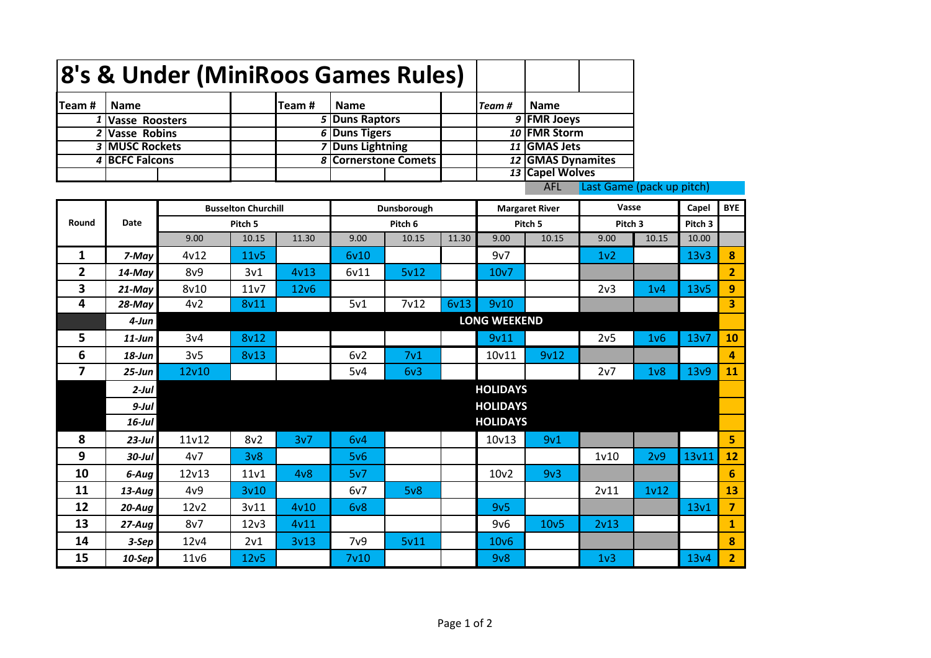|                                         |                       | 8's & Under (MiniRoos Games Rules) |                     |       |                         |                   |       |                       |                   |                  |                    |                  |                 |
|-----------------------------------------|-----------------------|------------------------------------|---------------------|-------|-------------------------|-------------------|-------|-----------------------|-------------------|------------------|--------------------|------------------|-----------------|
| Team#                                   | <b>Name</b>           |                                    |                     | Team# | <b>Name</b>             |                   |       | Team#                 | <b>Name</b>       |                  |                    |                  |                 |
| 1                                       | <b>Vasse Roosters</b> |                                    |                     |       | 5 Duns Raptors          |                   |       |                       | 9 FMR Joeys       |                  |                    |                  |                 |
| $\overline{2}$                          | <b>Vasse Robins</b>   |                                    |                     |       | 6 Duns Tigers           |                   |       |                       | 10 FMR Storm      |                  |                    |                  |                 |
|                                         | 3 MUSC Rockets        |                                    |                     |       | <b>7 Duns Lightning</b> |                   |       |                       | 11 GMAS Jets      |                  |                    |                  |                 |
| 4                                       | <b>BCFC Falcons</b>   |                                    |                     |       | 8 Cornerstone Comets    |                   |       |                       | 12 GMAS Dynamites |                  |                    |                  |                 |
|                                         |                       |                                    |                     |       |                         |                   |       | 13 Capel Wolves       |                   |                  |                    |                  |                 |
| <b>AFL</b><br>Last Game (pack up pitch) |                       |                                    |                     |       |                         |                   |       |                       |                   |                  |                    |                  |                 |
|                                         |                       | <b>Busselton Churchill</b>         |                     |       | Dunsborough             |                   |       | <b>Margaret River</b> |                   | Vasse            |                    | Capel            | <b>BYE</b>      |
| Round                                   | Date                  |                                    | Pitch 5             |       |                         | Pitch 6           |       |                       | Pitch 5           |                  | Pitch <sub>3</sub> | Pitch 3          |                 |
|                                         |                       | 9.00                               | 10.15               | 11.30 | 9.00                    | 10.15             | 11.30 | 9.00                  | 10.15             | 9.00             | 10.15              | 10.00            |                 |
| 1                                       | 7-May                 | 4v12                               | 11v5                |       | 6v10                    |                   |       | 9v7                   |                   | 1 <sub>v</sub> 2 |                    | 13v3             | 8               |
| $\overline{2}$                          | 14-May                | 8v9                                | 3v1                 | 4v13  | 6v11                    | 5v12              |       | 10 <sub>v</sub> 7     |                   |                  |                    |                  | $\overline{2}$  |
| 3                                       | $21$ -May             | 8v10                               | 11v7                | 12v6  |                         |                   |       |                       |                   | 2v3              | 1 <sub>v</sub> 4   | 13v5             | 9               |
| 4                                       | 28-May                | 4v2                                | 8v11                |       | 5v1                     | 7 <sub>v</sub> 12 | 6v13  | 9v10                  |                   |                  |                    |                  | 3               |
|                                         | 4-Jun                 |                                    | <b>LONG WEEKEND</b> |       |                         |                   |       |                       |                   |                  |                    |                  |                 |
| 5.                                      | $11$ -Jun             | 3v4                                | 8v12                |       |                         |                   |       | 9v11                  |                   | 2v <sub>5</sub>  | 1v6                | 13v7             | 10              |
| 6                                       | $18$ -Jun             | 3v <sub>5</sub>                    | 8v13                |       | 6v2                     | 7 <sub>v1</sub>   |       | 10v11                 | 9v12              |                  |                    |                  | 4               |
| $\overline{7}$                          | $25 - Jun$            | 12v10                              |                     |       | 5v4                     | 6v3               |       |                       |                   | 2v7              | 1 <sub>v</sub>     | 13 <sub>v9</sub> | 11              |
|                                         | $2$ -Jul              |                                    | <b>HOLIDAYS</b>     |       |                         |                   |       |                       |                   |                  |                    |                  |                 |
|                                         | $9$ -Jul              |                                    | <b>HOLIDAYS</b>     |       |                         |                   |       |                       |                   |                  |                    |                  |                 |
|                                         | 16-Jul                |                                    |                     |       | <b>HOLIDAYS</b>         |                   |       |                       |                   |                  |                    |                  |                 |
| 8                                       | $23$ -Jul             | 11v12                              | 8v2                 | 3v7   | 6v4                     |                   |       | 10v13                 | 9v1               |                  |                    |                  | 5               |
| 9                                       | $30$ -Jul             | 4v7                                | 3v8                 |       | 5v6                     |                   |       |                       |                   | 1v10             | 2v9                | 13v11            | 12              |
| 10                                      | 6-Aug                 | 12v13                              | 11v1                | 4v8   | 5v7                     |                   |       | 10 <sub>v</sub> 2     | 9v3               |                  |                    |                  | $6\phantom{1}6$ |
| 11                                      | 13-Aug                | 4v9                                | 3v10                |       | 6v7                     | 5v8               |       |                       |                   | 2v11             | 1 <sub>v</sub> 12  |                  | 13              |
| 12                                      | 20-Aug                | 12v2                               | 3v11                | 4v10  | 6 <sub>v</sub> 8        |                   |       | 9v5                   |                   |                  |                    | 13v1             | $\overline{7}$  |
| 13                                      | $27 - Aug$            | 8v7                                | 12v3                | 4v11  |                         |                   |       | 9v6                   | 10 <sub>v</sub> 5 | 2v13             |                    |                  | 1               |
| 14                                      | 3-Sep                 | 12v4                               | 2v1                 | 3v13  | 7 <sub>v</sub> 9        | 5v11              |       | 10 <sub>v</sub> 6     |                   |                  |                    |                  | 8               |
| 15                                      | $10-$ Sep             | 11v6                               | 12v5                |       | 7 <sub>v</sub> 10       |                   |       | 9v8                   |                   | 1 <sub>v</sub> 3 |                    | 13v4             | $\overline{2}$  |